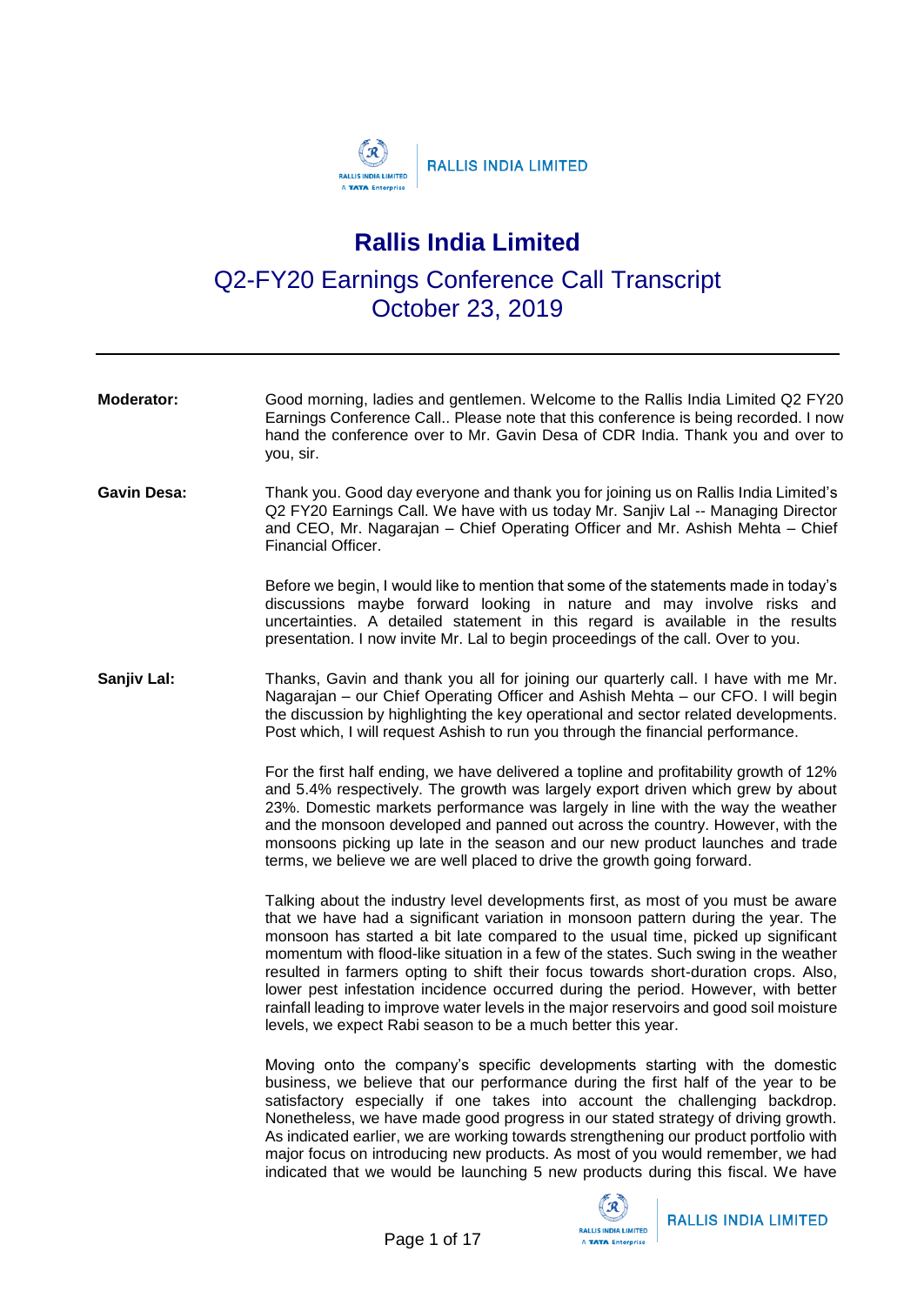

## **Rallis India Limited**

Q2-FY20 Earnings Conference Call Transcript October 23, 2019

| <b>Moderator:</b>  | Good morning, ladies and gentlemen. Welcome to the Rallis India Limited Q2 FY20<br>Earnings Conference Call Please note that this conference is being recorded. I now<br>hand the conference over to Mr. Gavin Desa of CDR India. Thank you and over to<br>you, sir.                                                                                                                                                                                                                                                                                                                                                                                                                     |
|--------------------|------------------------------------------------------------------------------------------------------------------------------------------------------------------------------------------------------------------------------------------------------------------------------------------------------------------------------------------------------------------------------------------------------------------------------------------------------------------------------------------------------------------------------------------------------------------------------------------------------------------------------------------------------------------------------------------|
| <b>Gavin Desa:</b> | Thank you. Good day everyone and thank you for joining us on Rallis India Limited's<br>Q2 FY20 Earnings Call. We have with us today Mr. Sanjiv Lal -- Managing Director<br>and CEO, Mr. Nagarajan - Chief Operating Officer and Mr. Ashish Mehta - Chief<br>Financial Officer.                                                                                                                                                                                                                                                                                                                                                                                                           |
|                    | Before we begin, I would like to mention that some of the statements made in today's<br>discussions maybe forward looking in nature and may involve risks and<br>uncertainties. A detailed statement in this regard is available in the results<br>presentation. I now invite Mr. Lal to begin proceedings of the call. Over to you.                                                                                                                                                                                                                                                                                                                                                     |
| Sanjiv Lal:        | Thanks, Gavin and thank you all for joining our quarterly call. I have with me Mr.<br>Nagarajan - our Chief Operating Officer and Ashish Mehta - our CFO. I will begin<br>the discussion by highlighting the key operational and sector related developments.<br>Post which, I will request Ashish to run you through the financial performance.                                                                                                                                                                                                                                                                                                                                         |
|                    | For the first half ending, we have delivered a topline and profitability growth of 12%<br>and 5.4% respectively. The growth was largely export driven which grew by about<br>23%. Domestic markets performance was largely in line with the way the weather<br>and the monsoon developed and panned out across the country. However, with the<br>monsoons picking up late in the season and our new product launches and trade<br>terms, we believe we are well placed to drive the growth going forward.                                                                                                                                                                                |
|                    | Talking about the industry level developments first, as most of you must be aware<br>that we have had a significant variation in monsoon pattern during the year. The<br>monsoon has started a bit late compared to the usual time, picked up significant<br>momentum with flood-like situation in a few of the states. Such swing in the weather<br>resulted in farmers opting to shift their focus towards short-duration crops. Also,<br>lower pest infestation incidence occurred during the period. However, with better<br>rainfall leading to improve water levels in the major reservoirs and good soil moisture<br>levels, we expect Rabi season to be a much better this year. |
|                    | Moving onto the company's specific developments starting with the domestic<br>business, we believe that our performance during the first half of the year to be<br>satisfactory especially if one takes into account the challenging backdrop.<br>Nonetheless, we have made good progress in our stated strategy of driving growth.<br>As indicated earlier, we are working towards strengthening our product portfolio with<br>major focus on introducing new products. As most of you would remember, we had<br>indicated that we would be launching 5 new products during this fiscal. We have                                                                                        |

 $(\mathcal{R})$ 

**RALLIS INDIA LIMITED** A TATA Enterprise

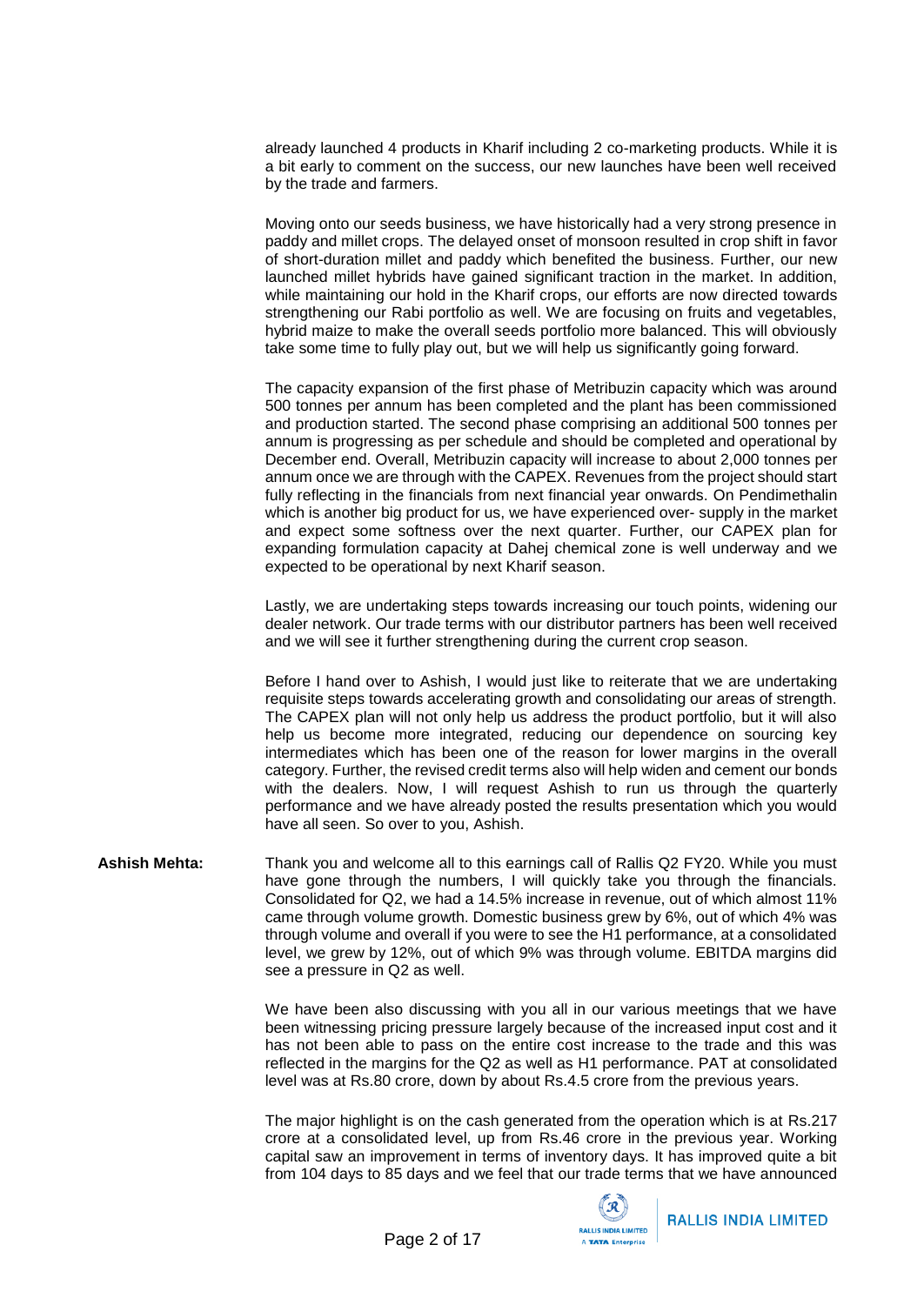already launched 4 products in Kharif including 2 co-marketing products. While it is a bit early to comment on the success, our new launches have been well received by the trade and farmers.

Moving onto our seeds business, we have historically had a very strong presence in paddy and millet crops. The delayed onset of monsoon resulted in crop shift in favor of short-duration millet and paddy which benefited the business. Further, our new launched millet hybrids have gained significant traction in the market. In addition, while maintaining our hold in the Kharif crops, our efforts are now directed towards strengthening our Rabi portfolio as well. We are focusing on fruits and vegetables, hybrid maize to make the overall seeds portfolio more balanced. This will obviously take some time to fully play out, but we will help us significantly going forward.

The capacity expansion of the first phase of Metribuzin capacity which was around 500 tonnes per annum has been completed and the plant has been commissioned and production started. The second phase comprising an additional 500 tonnes per annum is progressing as per schedule and should be completed and operational by December end. Overall, Metribuzin capacity will increase to about 2,000 tonnes per annum once we are through with the CAPEX. Revenues from the project should start fully reflecting in the financials from next financial year onwards. On Pendimethalin which is another big product for us, we have experienced over- supply in the market and expect some softness over the next quarter. Further, our CAPEX plan for expanding formulation capacity at Dahej chemical zone is well underway and we expected to be operational by next Kharif season.

Lastly, we are undertaking steps towards increasing our touch points, widening our dealer network. Our trade terms with our distributor partners has been well received and we will see it further strengthening during the current crop season.

Before I hand over to Ashish, I would just like to reiterate that we are undertaking requisite steps towards accelerating growth and consolidating our areas of strength. The CAPEX plan will not only help us address the product portfolio, but it will also help us become more integrated, reducing our dependence on sourcing key intermediates which has been one of the reason for lower margins in the overall category. Further, the revised credit terms also will help widen and cement our bonds with the dealers. Now, I will request Ashish to run us through the quarterly performance and we have already posted the results presentation which you would have all seen. So over to you, Ashish.

**Ashish Mehta:** Thank you and welcome all to this earnings call of Rallis Q2 FY20. While you must have gone through the numbers, I will quickly take you through the financials. Consolidated for Q2, we had a 14.5% increase in revenue, out of which almost 11% came through volume growth. Domestic business grew by 6%, out of which 4% was through volume and overall if you were to see the H1 performance, at a consolidated level, we grew by 12%, out of which 9% was through volume. EBITDA margins did see a pressure in Q2 as well.

> We have been also discussing with you all in our various meetings that we have been witnessing pricing pressure largely because of the increased input cost and it has not been able to pass on the entire cost increase to the trade and this was reflected in the margins for the Q2 as well as H1 performance. PAT at consolidated level was at Rs.80 crore, down by about Rs.4.5 crore from the previous years.

> The major highlight is on the cash generated from the operation which is at Rs.217 crore at a consolidated level, up from Rs.46 crore in the previous year. Working capital saw an improvement in terms of inventory days. It has improved quite a bit from 104 days to 85 days and we feel that our trade terms that we have announced

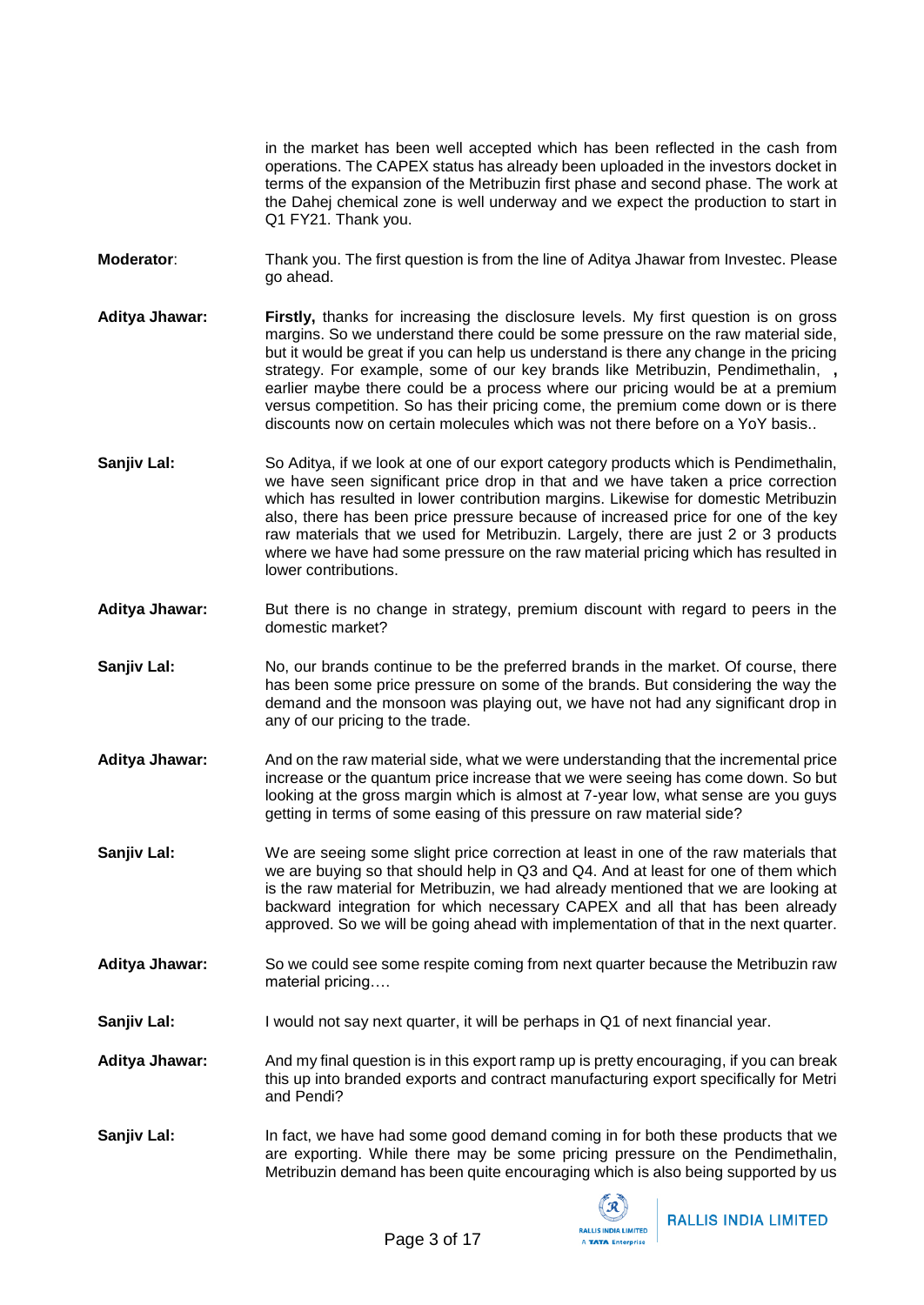in the market has been well accepted which has been reflected in the cash from operations. The CAPEX status has already been uploaded in the investors docket in terms of the expansion of the Metribuzin first phase and second phase. The work at the Dahej chemical zone is well underway and we expect the production to start in Q1 FY21. Thank you.

**Moderator**: Thank you. The first question is from the line of Aditya Jhawar from Investec. Please go ahead.

**Aditya Jhawar: Firstly,** thanks for increasing the disclosure levels. My first question is on gross margins. So we understand there could be some pressure on the raw material side, but it would be great if you can help us understand is there any change in the pricing strategy. For example, some of our key brands like Metribuzin, Pendimethalin, **,** earlier maybe there could be a process where our pricing would be at a premium versus competition. So has their pricing come, the premium come down or is there discounts now on certain molecules which was not there before on a YoY basis..

- **Sanjiv Lal:** So Aditya, if we look at one of our export category products which is Pendimethalin, we have seen significant price drop in that and we have taken a price correction which has resulted in lower contribution margins. Likewise for domestic Metribuzin also, there has been price pressure because of increased price for one of the key raw materials that we used for Metribuzin. Largely, there are just 2 or 3 products where we have had some pressure on the raw material pricing which has resulted in lower contributions.
- **Aditya Jhawar:** But there is no change in strategy, premium discount with regard to peers in the domestic market?
- **Sanjiv Lal:** No, our brands continue to be the preferred brands in the market. Of course, there has been some price pressure on some of the brands. But considering the way the demand and the monsoon was playing out, we have not had any significant drop in any of our pricing to the trade.
- **Aditya Jhawar:** And on the raw material side, what we were understanding that the incremental price increase or the quantum price increase that we were seeing has come down. So but looking at the gross margin which is almost at 7-year low, what sense are you guys getting in terms of some easing of this pressure on raw material side?

**Sanjiv Lal:** We are seeing some slight price correction at least in one of the raw materials that we are buying so that should help in Q3 and Q4. And at least for one of them which is the raw material for Metribuzin, we had already mentioned that we are looking at backward integration for which necessary CAPEX and all that has been already approved. So we will be going ahead with implementation of that in the next quarter.

- **Aditya Jhawar:** So we could see some respite coming from next quarter because the Metribuzin raw material pricing….
- **Sanjiv Lal:** I would not say next quarter, it will be perhaps in Q1 of next financial year.
- **Aditya Jhawar:** And my final question is in this export ramp up is pretty encouraging, if you can break this up into branded exports and contract manufacturing export specifically for Metri and Pendi?
- **Sanjiv Lal:** In fact, we have had some good demand coming in for both these products that we are exporting. While there may be some pricing pressure on the Pendimethalin, Metribuzin demand has been quite encouraging which is also being supported by us

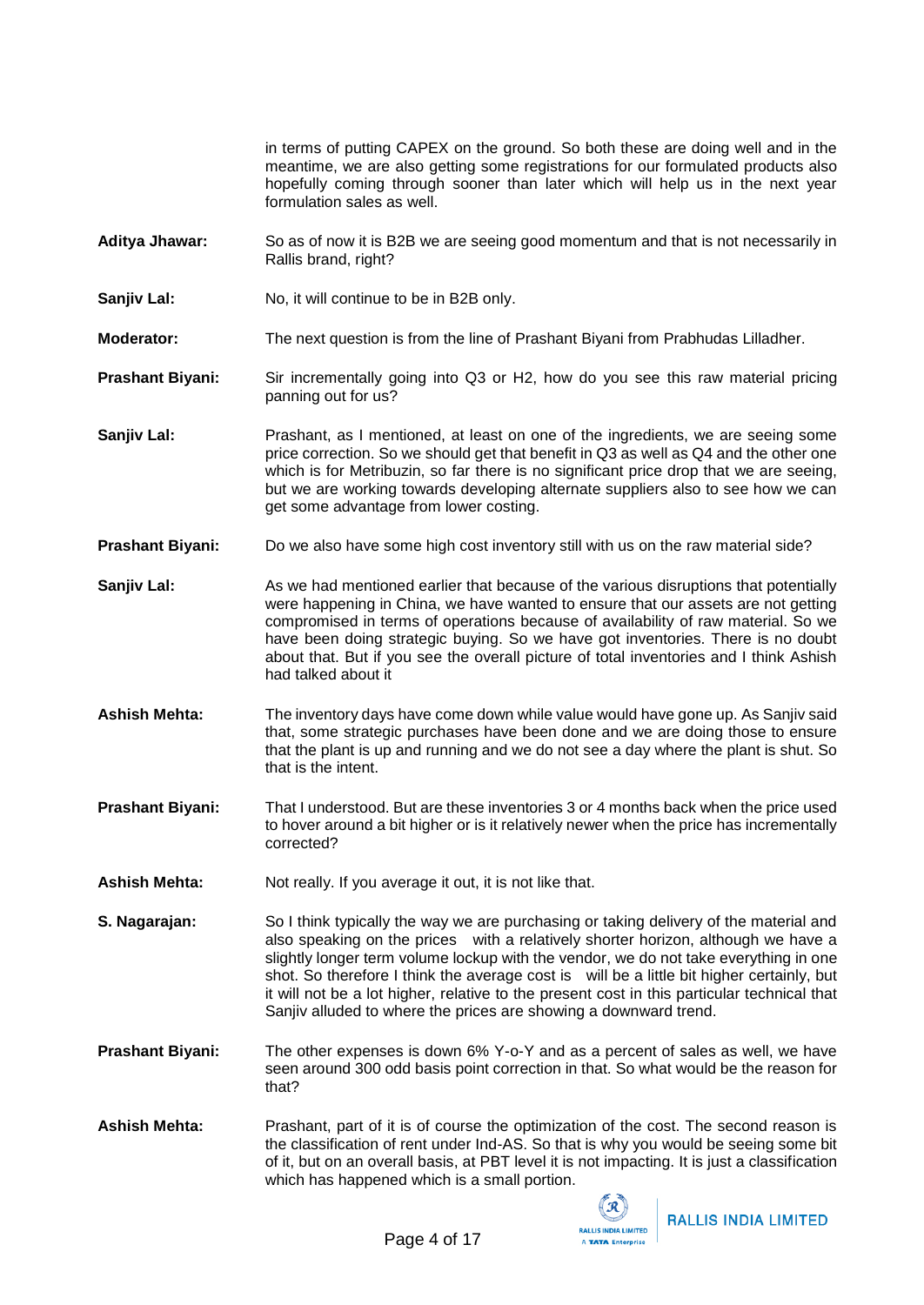in terms of putting CAPEX on the ground. So both these are doing well and in the meantime, we are also getting some registrations for our formulated products also hopefully coming through sooner than later which will help us in the next year formulation sales as well.

- **Aditya Jhawar:** So as of now it is B2B we are seeing good momentum and that is not necessarily in Rallis brand, right?
- **Sanjiv Lal:** No, it will continue to be in B2B only.
- **Moderator:** The next question is from the line of Prashant Biyani from Prabhudas Lilladher.
- **Prashant Biyani:** Sir incrementally going into Q3 or H2, how do you see this raw material pricing panning out for us?
- **Sanjiv Lal:** Prashant, as I mentioned, at least on one of the ingredients, we are seeing some price correction. So we should get that benefit in Q3 as well as Q4 and the other one which is for Metribuzin, so far there is no significant price drop that we are seeing, but we are working towards developing alternate suppliers also to see how we can get some advantage from lower costing.
- **Prashant Biyani:** Do we also have some high cost inventory still with us on the raw material side?
- **Sanjiv Lal:** As we had mentioned earlier that because of the various disruptions that potentially were happening in China, we have wanted to ensure that our assets are not getting compromised in terms of operations because of availability of raw material. So we have been doing strategic buying. So we have got inventories. There is no doubt about that. But if you see the overall picture of total inventories and I think Ashish had talked about it
- **Ashish Mehta:** The inventory days have come down while value would have gone up. As Sanjiv said that, some strategic purchases have been done and we are doing those to ensure that the plant is up and running and we do not see a day where the plant is shut. So that is the intent.
- **Prashant Biyani:** That I understood. But are these inventories 3 or 4 months back when the price used to hover around a bit higher or is it relatively newer when the price has incrementally corrected?
- Ashish Mehta: Not really. If you average it out, it is not like that.
- **S. Nagarajan:** So I think typically the way we are purchasing or taking delivery of the material and also speaking on the prices with a relatively shorter horizon, although we have a slightly longer term volume lockup with the vendor, we do not take everything in one shot. So therefore I think the average cost is will be a little bit higher certainly, but it will not be a lot higher, relative to the present cost in this particular technical that Sanjiv alluded to where the prices are showing a downward trend.
- **Prashant Biyani:** The other expenses is down 6% Y-o-Y and as a percent of sales as well, we have seen around 300 odd basis point correction in that. So what would be the reason for that?
- Ashish Mehta: Prashant, part of it is of course the optimization of the cost. The second reason is the classification of rent under Ind-AS. So that is why you would be seeing some bit of it, but on an overall basis, at PBT level it is not impacting. It is just a classification which has happened which is a small portion.

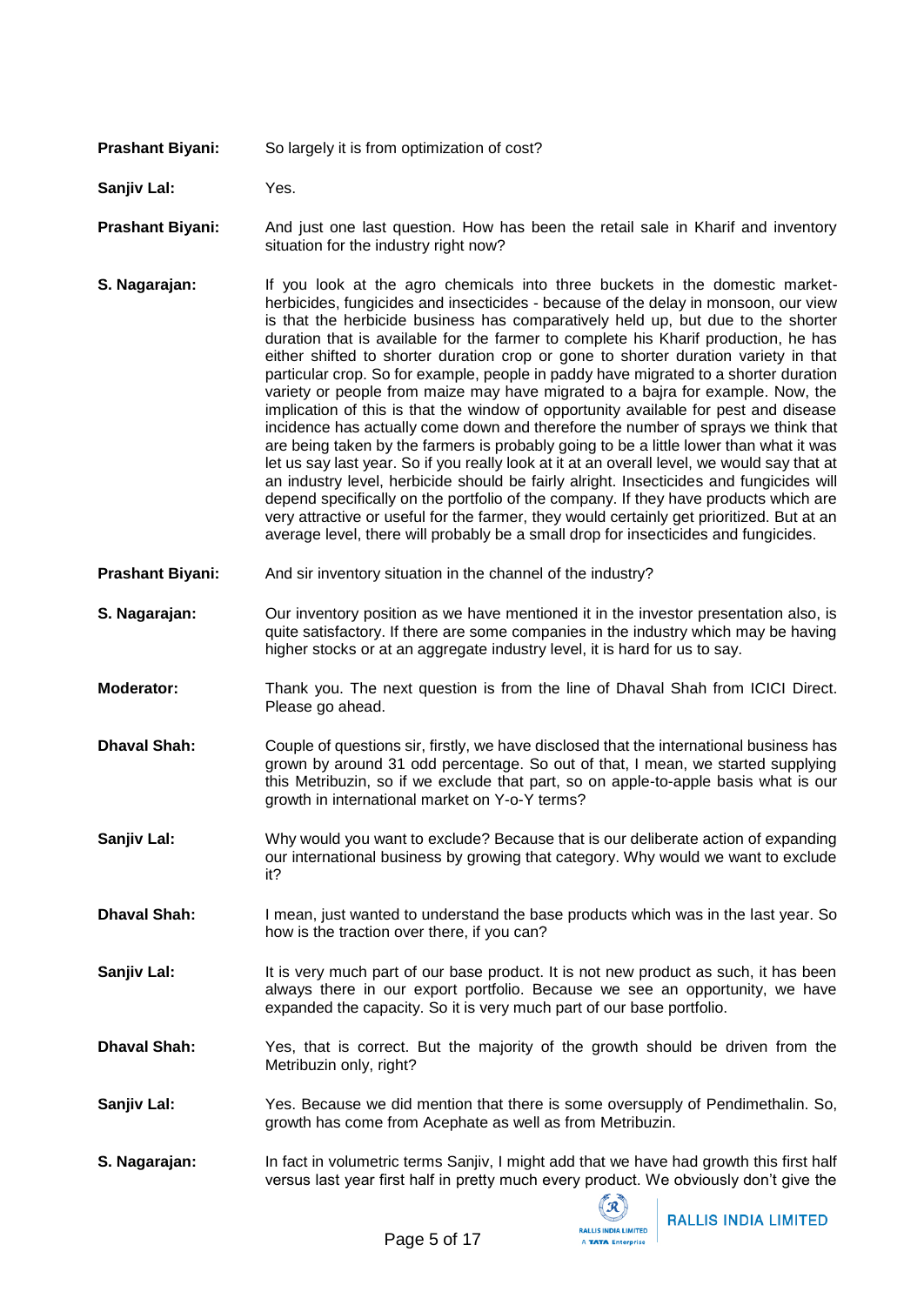**Prashant Biyani:** So largely it is from optimization of cost?

**Sanjiv Lal:** Yes.

**Prashant Biyani:** And just one last question. How has been the retail sale in Kharif and inventory situation for the industry right now?

- **S. Nagarajan:** If you look at the agro chemicals into three buckets in the domestic marketherbicides, fungicides and insecticides - because of the delay in monsoon, our view is that the herbicide business has comparatively held up, but due to the shorter duration that is available for the farmer to complete his Kharif production, he has either shifted to shorter duration crop or gone to shorter duration variety in that particular crop. So for example, people in paddy have migrated to a shorter duration variety or people from maize may have migrated to a bajra for example. Now, the implication of this is that the window of opportunity available for pest and disease incidence has actually come down and therefore the number of sprays we think that are being taken by the farmers is probably going to be a little lower than what it was let us say last year. So if you really look at it at an overall level, we would say that at an industry level, herbicide should be fairly alright. Insecticides and fungicides will depend specifically on the portfolio of the company. If they have products which are very attractive or useful for the farmer, they would certainly get prioritized. But at an average level, there will probably be a small drop for insecticides and fungicides.
- **Prashant Biyani:** And sir inventory situation in the channel of the industry?
- **S. Nagarajan:** Our inventory position as we have mentioned it in the investor presentation also, is quite satisfactory. If there are some companies in the industry which may be having higher stocks or at an aggregate industry level, it is hard for us to say.
- **Moderator:** Thank you. The next question is from the line of Dhaval Shah from ICICI Direct. Please go ahead.
- **Dhaval Shah:** Couple of questions sir, firstly, we have disclosed that the international business has grown by around 31 odd percentage. So out of that, I mean, we started supplying this Metribuzin, so if we exclude that part, so on apple-to-apple basis what is our growth in international market on Y-o-Y terms?
- **Sanjiv Lal:** Why would you want to exclude? Because that is our deliberate action of expanding our international business by growing that category. Why would we want to exclude it?
- **Dhaval Shah:** I mean, just wanted to understand the base products which was in the last year. So how is the traction over there, if you can?
- **Sanjiv Lal:** It is very much part of our base product. It is not new product as such, it has been always there in our export portfolio. Because we see an opportunity, we have expanded the capacity. So it is very much part of our base portfolio.
- **Dhaval Shah:** Yes, that is correct. But the majority of the growth should be driven from the Metribuzin only, right?
- **Sanjiv Lal:** Yes. Because we did mention that there is some oversupply of Pendimethalin. So, growth has come from Acephate as well as from Metribuzin.
- **S. Nagarajan:** In fact in volumetric terms Sanjiv, I might add that we have had growth this first half versus last year first half in pretty much every product. We obviously don't give the

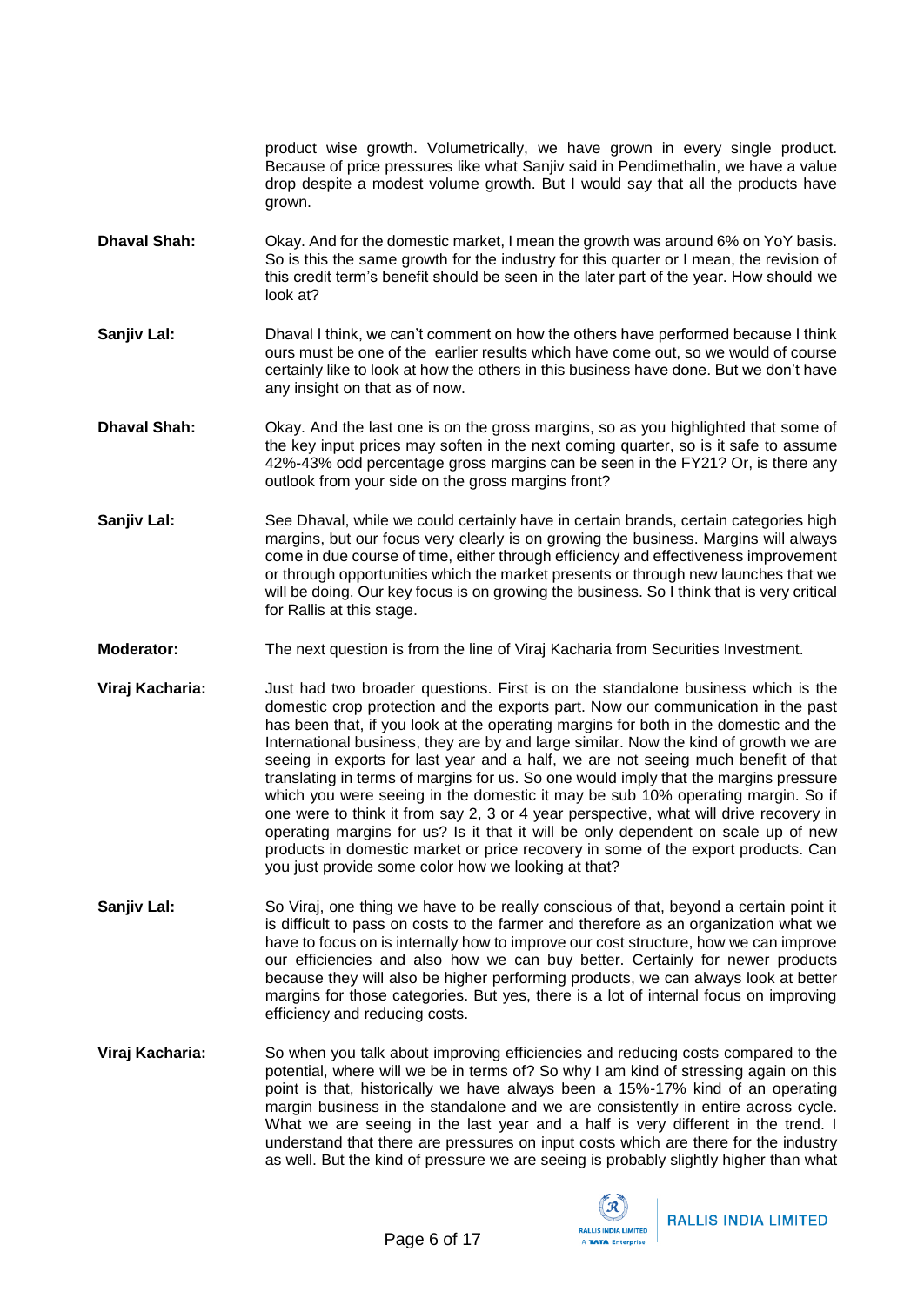product wise growth. Volumetrically, we have grown in every single product. Because of price pressures like what Sanjiv said in Pendimethalin, we have a value drop despite a modest volume growth. But I would say that all the products have grown.

- **Dhaval Shah:** Okay. And for the domestic market, I mean the growth was around 6% on YoY basis. So is this the same growth for the industry for this quarter or I mean, the revision of this credit term's benefit should be seen in the later part of the year. How should we look at?
- **Sanjiv Lal:** Dhaval I think, we can't comment on how the others have performed because I think ours must be one of the earlier results which have come out, so we would of course certainly like to look at how the others in this business have done. But we don't have any insight on that as of now.
- **Dhaval Shah:** Okay. And the last one is on the gross margins, so as you highlighted that some of the key input prices may soften in the next coming quarter, so is it safe to assume 42%-43% odd percentage gross margins can be seen in the FY21? Or, is there any outlook from your side on the gross margins front?
- **Sanjiv Lal:** See Dhaval, while we could certainly have in certain brands, certain categories high margins, but our focus very clearly is on growing the business. Margins will always come in due course of time, either through efficiency and effectiveness improvement or through opportunities which the market presents or through new launches that we will be doing. Our key focus is on growing the business. So I think that is very critical for Rallis at this stage.
- **Moderator:** The next question is from the line of Viraj Kacharia from Securities Investment.
- **Viraj Kacharia:** Just had two broader questions. First is on the standalone business which is the domestic crop protection and the exports part. Now our communication in the past has been that, if you look at the operating margins for both in the domestic and the International business, they are by and large similar. Now the kind of growth we are seeing in exports for last year and a half, we are not seeing much benefit of that translating in terms of margins for us. So one would imply that the margins pressure which you were seeing in the domestic it may be sub 10% operating margin. So if one were to think it from say 2, 3 or 4 year perspective, what will drive recovery in operating margins for us? Is it that it will be only dependent on scale up of new products in domestic market or price recovery in some of the export products. Can you just provide some color how we looking at that?
- Sanjiv Lal: So Viraj, one thing we have to be really conscious of that, beyond a certain point it is difficult to pass on costs to the farmer and therefore as an organization what we have to focus on is internally how to improve our cost structure, how we can improve our efficiencies and also how we can buy better. Certainly for newer products because they will also be higher performing products, we can always look at better margins for those categories. But yes, there is a lot of internal focus on improving efficiency and reducing costs.
- **Viraj Kacharia:** So when you talk about improving efficiencies and reducing costs compared to the potential, where will we be in terms of? So why I am kind of stressing again on this point is that, historically we have always been a 15%-17% kind of an operating margin business in the standalone and we are consistently in entire across cycle. What we are seeing in the last year and a half is very different in the trend. I understand that there are pressures on input costs which are there for the industry as well. But the kind of pressure we are seeing is probably slightly higher than what

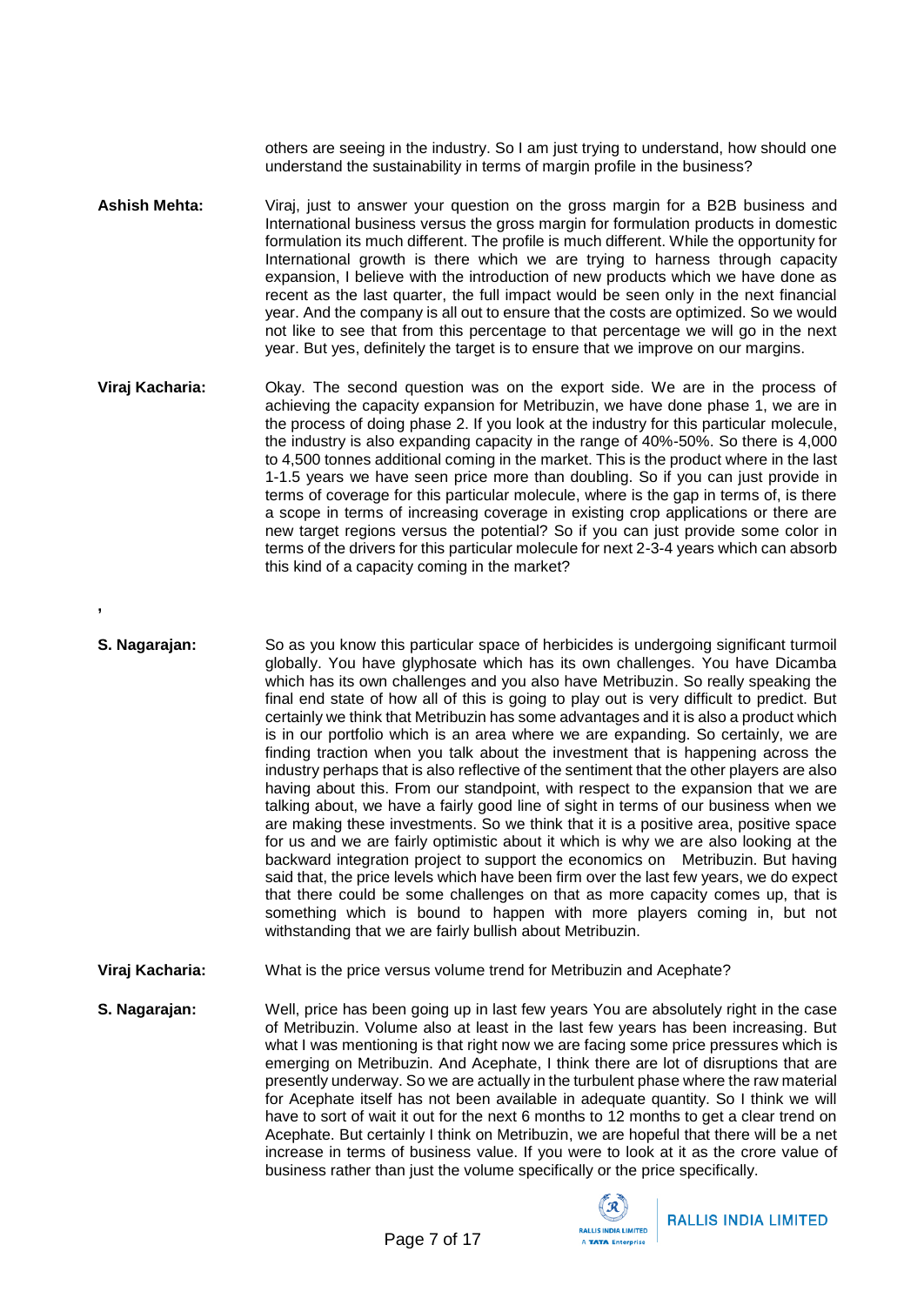others are seeing in the industry. So I am just trying to understand, how should one understand the sustainability in terms of margin profile in the business?

- **Ashish Mehta:** Viraj, just to answer your question on the gross margin for a B2B business and International business versus the gross margin for formulation products in domestic formulation its much different. The profile is much different. While the opportunity for International growth is there which we are trying to harness through capacity expansion, I believe with the introduction of new products which we have done as recent as the last quarter, the full impact would be seen only in the next financial year. And the company is all out to ensure that the costs are optimized. So we would not like to see that from this percentage to that percentage we will go in the next year. But yes, definitely the target is to ensure that we improve on our margins.
- **Viraj Kacharia:** Okay. The second question was on the export side. We are in the process of achieving the capacity expansion for Metribuzin, we have done phase 1, we are in the process of doing phase 2. If you look at the industry for this particular molecule, the industry is also expanding capacity in the range of 40%-50%. So there is 4,000 to 4,500 tonnes additional coming in the market. This is the product where in the last 1-1.5 years we have seen price more than doubling. So if you can just provide in terms of coverage for this particular molecule, where is the gap in terms of, is there a scope in terms of increasing coverage in existing crop applications or there are new target regions versus the potential? So if you can just provide some color in terms of the drivers for this particular molecule for next 2-3-4 years which can absorb this kind of a capacity coming in the market?
- **S. Nagarajan:** So as you know this particular space of herbicides is undergoing significant turmoil globally. You have glyphosate which has its own challenges. You have Dicamba which has its own challenges and you also have Metribuzin. So really speaking the final end state of how all of this is going to play out is very difficult to predict. But certainly we think that Metribuzin has some advantages and it is also a product which is in our portfolio which is an area where we are expanding. So certainly, we are finding traction when you talk about the investment that is happening across the industry perhaps that is also reflective of the sentiment that the other players are also having about this. From our standpoint, with respect to the expansion that we are talking about, we have a fairly good line of sight in terms of our business when we are making these investments. So we think that it is a positive area, positive space for us and we are fairly optimistic about it which is why we are also looking at the backward integration project to support the economics on Metribuzin. But having said that, the price levels which have been firm over the last few years, we do expect that there could be some challenges on that as more capacity comes up, that is something which is bound to happen with more players coming in, but not withstanding that we are fairly bullish about Metribuzin.
- **Viraj Kacharia:** What is the price versus volume trend for Metribuzin and Acephate?

**,**

**S. Nagarajan:** Well, price has been going up in last few years You are absolutely right in the case of Metribuzin. Volume also at least in the last few years has been increasing. But what I was mentioning is that right now we are facing some price pressures which is emerging on Metribuzin. And Acephate, I think there are lot of disruptions that are presently underway. So we are actually in the turbulent phase where the raw material for Acephate itself has not been available in adequate quantity. So I think we will have to sort of wait it out for the next 6 months to 12 months to get a clear trend on Acephate. But certainly I think on Metribuzin, we are hopeful that there will be a net increase in terms of business value. If you were to look at it as the crore value of business rather than just the volume specifically or the price specifically.

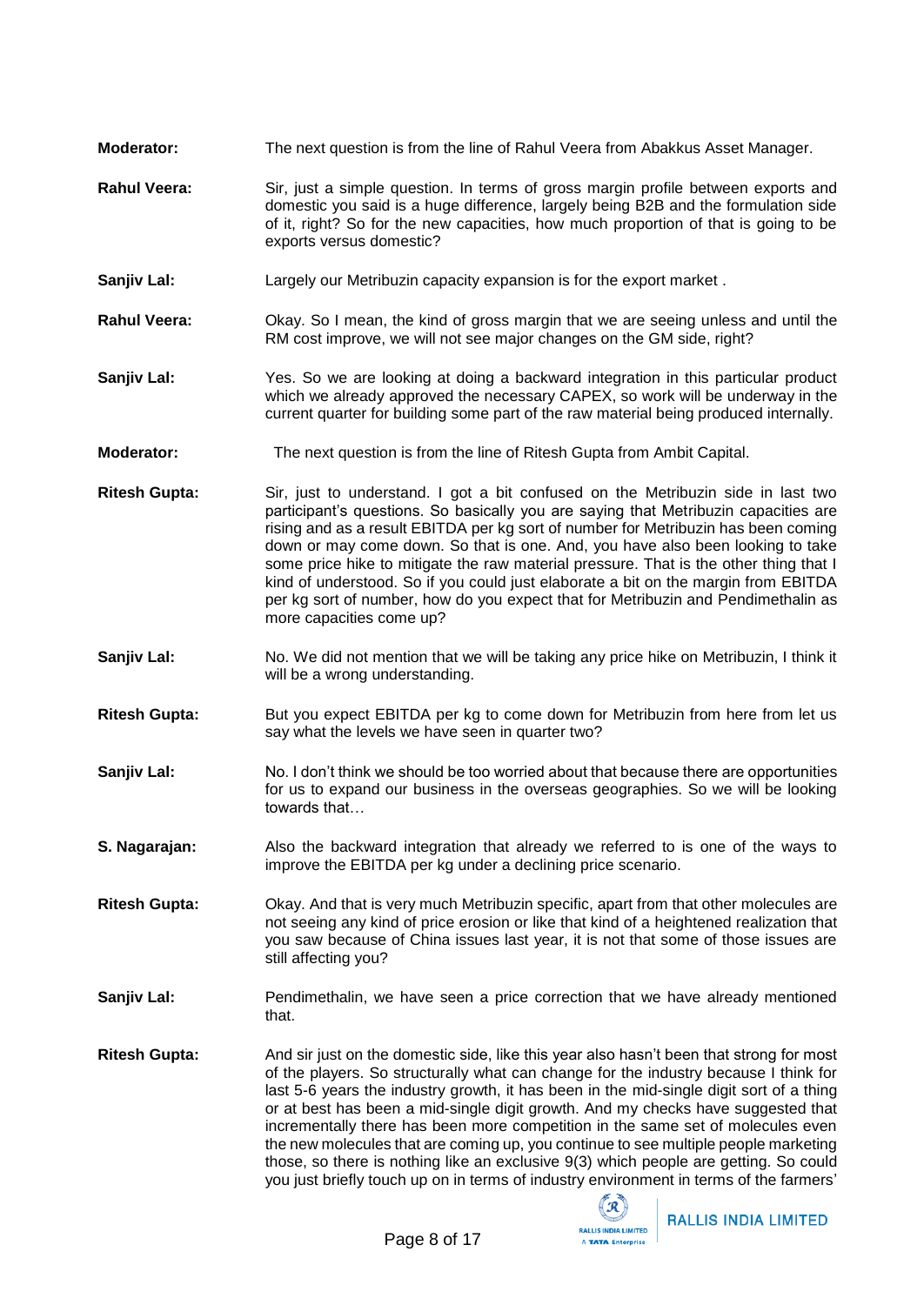- **Moderator:** The next question is from the line of Rahul Veera from Abakkus Asset Manager.
- **Rahul Veera:** Sir, just a simple question. In terms of gross margin profile between exports and domestic you said is a huge difference, largely being B2B and the formulation side of it, right? So for the new capacities, how much proportion of that is going to be exports versus domestic?
- **Sanjiv Lal:** Largely our Metribuzin capacity expansion is for the export market.
- **Rahul Veera:** Okay. So I mean, the kind of gross margin that we are seeing unless and until the RM cost improve, we will not see major changes on the GM side, right?
- **Sanjiv Lal:** Yes. So we are looking at doing a backward integration in this particular product which we already approved the necessary CAPEX, so work will be underway in the current quarter for building some part of the raw material being produced internally.
- **Moderator:** The next question is from the line of Ritesh Gupta from Ambit Capital.
- **Ritesh Gupta:** Sir, just to understand. I got a bit confused on the Metribuzin side in last two participant's questions. So basically you are saying that Metribuzin capacities are rising and as a result EBITDA per kg sort of number for Metribuzin has been coming down or may come down. So that is one. And, you have also been looking to take some price hike to mitigate the raw material pressure. That is the other thing that I kind of understood. So if you could just elaborate a bit on the margin from EBITDA per kg sort of number, how do you expect that for Metribuzin and Pendimethalin as more capacities come up?
- **Sanjiv Lal:** No. We did not mention that we will be taking any price hike on Metribuzin, I think it will be a wrong understanding.
- **Ritesh Gupta:** But you expect EBITDA per kg to come down for Metribuzin from here from let us say what the levels we have seen in quarter two?
- **Sanjiv Lal:** No. I don't think we should be too worried about that because there are opportunities for us to expand our business in the overseas geographies. So we will be looking towards that…
- **S. Nagarajan:** Also the backward integration that already we referred to is one of the ways to improve the EBITDA per kg under a declining price scenario.
- **Ritesh Gupta:** Okay. And that is very much Metribuzin specific, apart from that other molecules are not seeing any kind of price erosion or like that kind of a heightened realization that you saw because of China issues last year, it is not that some of those issues are still affecting you?
- **Sanjiv Lal:** Pendimethalin, we have seen a price correction that we have already mentioned that.
- **Ritesh Gupta:** And sir just on the domestic side, like this year also hasn't been that strong for most of the players. So structurally what can change for the industry because I think for last 5-6 years the industry growth, it has been in the mid-single digit sort of a thing or at best has been a mid-single digit growth. And my checks have suggested that incrementally there has been more competition in the same set of molecules even the new molecules that are coming up, you continue to see multiple people marketing those, so there is nothing like an exclusive 9(3) which people are getting. So could you just briefly touch up on in terms of industry environment in terms of the farmers'

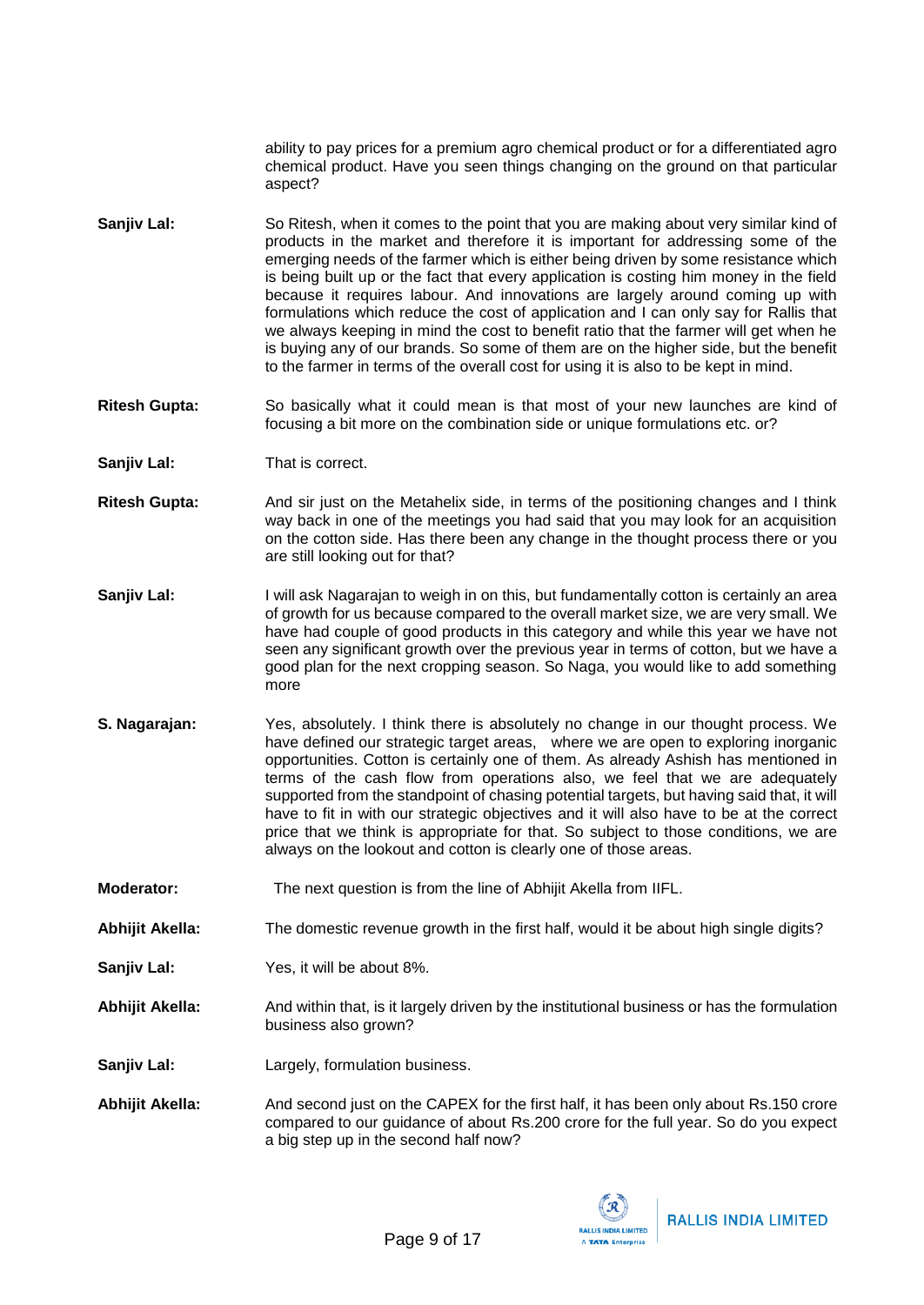ability to pay prices for a premium agro chemical product or for a differentiated agro chemical product. Have you seen things changing on the ground on that particular aspect?

- **Sanjiv Lal:** So Ritesh, when it comes to the point that you are making about very similar kind of products in the market and therefore it is important for addressing some of the emerging needs of the farmer which is either being driven by some resistance which is being built up or the fact that every application is costing him money in the field because it requires labour. And innovations are largely around coming up with formulations which reduce the cost of application and I can only say for Rallis that we always keeping in mind the cost to benefit ratio that the farmer will get when he is buying any of our brands. So some of them are on the higher side, but the benefit to the farmer in terms of the overall cost for using it is also to be kept in mind.
- **Ritesh Gupta:** So basically what it could mean is that most of your new launches are kind of focusing a bit more on the combination side or unique formulations etc. or?
- **Sanjiv Lal:** That is correct.
- **Ritesh Gupta:** And sir just on the Metahelix side, in terms of the positioning changes and I think way back in one of the meetings you had said that you may look for an acquisition on the cotton side. Has there been any change in the thought process there or you are still looking out for that?
- **Sanjiv Lal:** I will ask Nagarajan to weigh in on this, but fundamentally cotton is certainly an area of growth for us because compared to the overall market size, we are very small. We have had couple of good products in this category and while this year we have not seen any significant growth over the previous year in terms of cotton, but we have a good plan for the next cropping season. So Naga, you would like to add something more
- **S. Nagarajan:** Yes, absolutely. I think there is absolutely no change in our thought process. We have defined our strategic target areas, where we are open to exploring inorganic opportunities. Cotton is certainly one of them. As already Ashish has mentioned in terms of the cash flow from operations also, we feel that we are adequately supported from the standpoint of chasing potential targets, but having said that, it will have to fit in with our strategic objectives and it will also have to be at the correct price that we think is appropriate for that. So subject to those conditions, we are always on the lookout and cotton is clearly one of those areas.
- **Moderator:** The next question is from the line of Abhijit Akella from IIFL.
- **Abhijit Akella:** The domestic revenue growth in the first half, would it be about high single digits?
- **Sanjiv Lal:** Yes, it will be about 8%.
- **Abhijit Akella:** And within that, is it largely driven by the institutional business or has the formulation business also grown?
- **Sanjiv Lal:** Largely, formulation business.
- **Abhijit Akella:** And second just on the CAPEX for the first half, it has been only about Rs.150 crore compared to our guidance of about Rs.200 crore for the full year. So do you expect a big step up in the second half now?

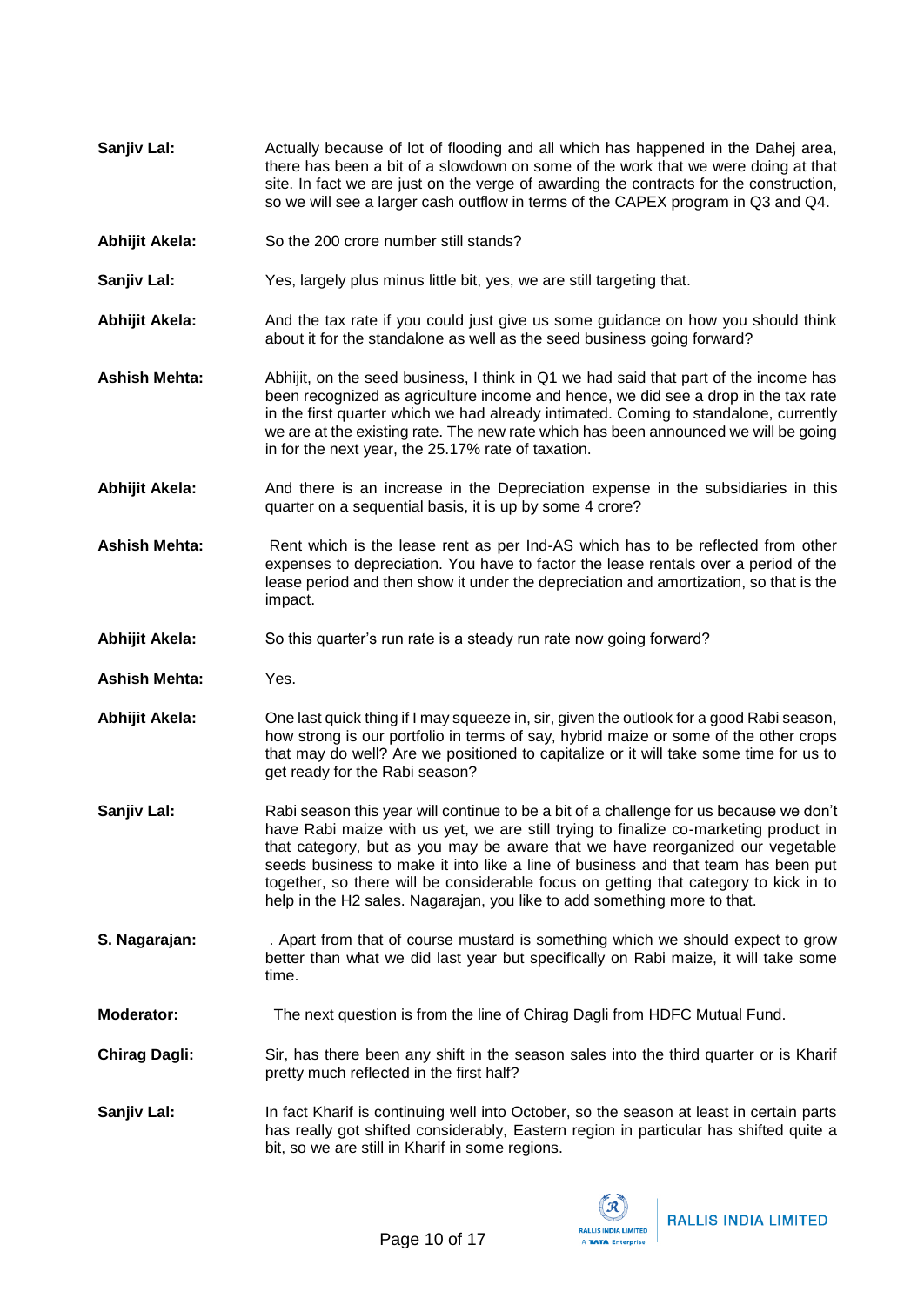- **Sanjiv Lal:** Actually because of lot of flooding and all which has happened in the Dahej area, there has been a bit of a slowdown on some of the work that we were doing at that site. In fact we are just on the verge of awarding the contracts for the construction, so we will see a larger cash outflow in terms of the CAPEX program in Q3 and Q4.
- Abhijit Akela: So the 200 crore number still stands?
- **Sanjiv Lal:** Yes, largely plus minus little bit, yes, we are still targeting that.
- **Abhijit Akela:** And the tax rate if you could just give us some guidance on how you should think about it for the standalone as well as the seed business going forward?
- **Ashish Mehta:** Abhijit, on the seed business, I think in Q1 we had said that part of the income has been recognized as agriculture income and hence, we did see a drop in the tax rate in the first quarter which we had already intimated. Coming to standalone, currently we are at the existing rate. The new rate which has been announced we will be going in for the next year, the 25.17% rate of taxation.
- **Abhijit Akela:** And there is an increase in the Depreciation expense in the subsidiaries in this quarter on a sequential basis, it is up by some 4 crore?
- Ashish Mehta: Rent which is the lease rent as per Ind-AS which has to be reflected from other expenses to depreciation. You have to factor the lease rentals over a period of the lease period and then show it under the depreciation and amortization, so that is the impact.
- **Abhijit Akela:** So this quarter's run rate is a steady run rate now going forward?
- **Ashish Mehta:** Yes.
- **Abhijit Akela:** One last quick thing if I may squeeze in, sir, given the outlook for a good Rabi season, how strong is our portfolio in terms of say, hybrid maize or some of the other crops that may do well? Are we positioned to capitalize or it will take some time for us to get ready for the Rabi season?
- **Sanjiv Lal:** Rabi season this year will continue to be a bit of a challenge for us because we don't have Rabi maize with us yet, we are still trying to finalize co-marketing product in that category, but as you may be aware that we have reorganized our vegetable seeds business to make it into like a line of business and that team has been put together, so there will be considerable focus on getting that category to kick in to help in the H2 sales. Nagarajan, you like to add something more to that.
- **S. Nagarajan:** . Apart from that of course mustard is something which we should expect to grow better than what we did last year but specifically on Rabi maize, it will take some time.
- **Moderator:** The next question is from the line of Chirag Dagli from HDFC Mutual Fund.
- **Chirag Dagli:** Sir, has there been any shift in the season sales into the third quarter or is Kharif pretty much reflected in the first half?
- **Sanjiv Lal:** In fact Kharif is continuing well into October, so the season at least in certain parts has really got shifted considerably, Eastern region in particular has shifted quite a bit, so we are still in Kharif in some regions.

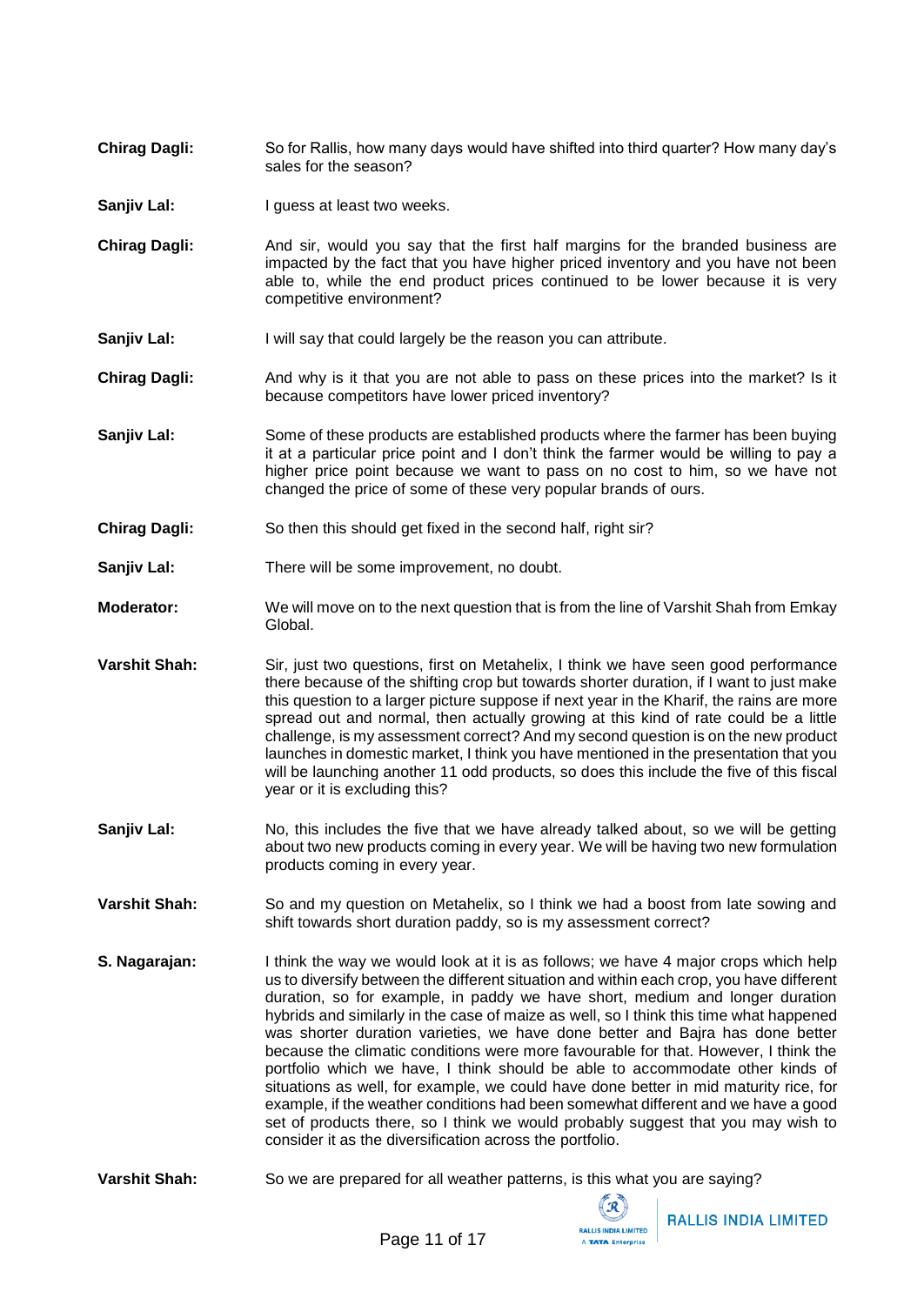- **Chirag Dagli:** So for Rallis, how many days would have shifted into third quarter? How many day's sales for the season?
- **Sanjiv Lal:** I guess at least two weeks.
- **Chirag Dagli:** And sir, would you say that the first half margins for the branded business are impacted by the fact that you have higher priced inventory and you have not been able to, while the end product prices continued to be lower because it is very competitive environment?
- **Sanjiv Lal:** I will say that could largely be the reason you can attribute.
- **Chirag Dagli:** And why is it that you are not able to pass on these prices into the market? Is it because competitors have lower priced inventory?
- **Sanjiv Lal:** Some of these products are established products where the farmer has been buying it at a particular price point and I don't think the farmer would be willing to pay a higher price point because we want to pass on no cost to him, so we have not changed the price of some of these very popular brands of ours.
- **Chirag Dagli:** So then this should get fixed in the second half, right sir?
- **Sanjiv Lal:** There will be some improvement, no doubt.
- **Moderator:** We will move on to the next question that is from the line of Varshit Shah from Emkay Global.
- **Varshit Shah:** Sir, just two questions, first on Metahelix, I think we have seen good performance there because of the shifting crop but towards shorter duration, if I want to just make this question to a larger picture suppose if next year in the Kharif, the rains are more spread out and normal, then actually growing at this kind of rate could be a little challenge, is my assessment correct? And my second question is on the new product launches in domestic market, I think you have mentioned in the presentation that you will be launching another 11 odd products, so does this include the five of this fiscal year or it is excluding this?
- **Sanjiv Lal:** No, this includes the five that we have already talked about, so we will be getting about two new products coming in every year. We will be having two new formulation products coming in every year.
- **Varshit Shah:** So and my question on Metahelix, so I think we had a boost from late sowing and shift towards short duration paddy, so is my assessment correct?
- **S. Nagarajan:** I think the way we would look at it is as follows; we have 4 major crops which help us to diversify between the different situation and within each crop, you have different duration, so for example, in paddy we have short, medium and longer duration hybrids and similarly in the case of maize as well, so I think this time what happened was shorter duration varieties, we have done better and Bajra has done better because the climatic conditions were more favourable for that. However, I think the portfolio which we have, I think should be able to accommodate other kinds of situations as well, for example, we could have done better in mid maturity rice, for example, if the weather conditions had been somewhat different and we have a good set of products there, so I think we would probably suggest that you may wish to consider it as the diversification across the portfolio.
- **Varshit Shah:** So we are prepared for all weather patterns, is this what you are saying?

 $\sqrt{R}$ **RALLIS INDIA LIMITED** A TATA Enterpris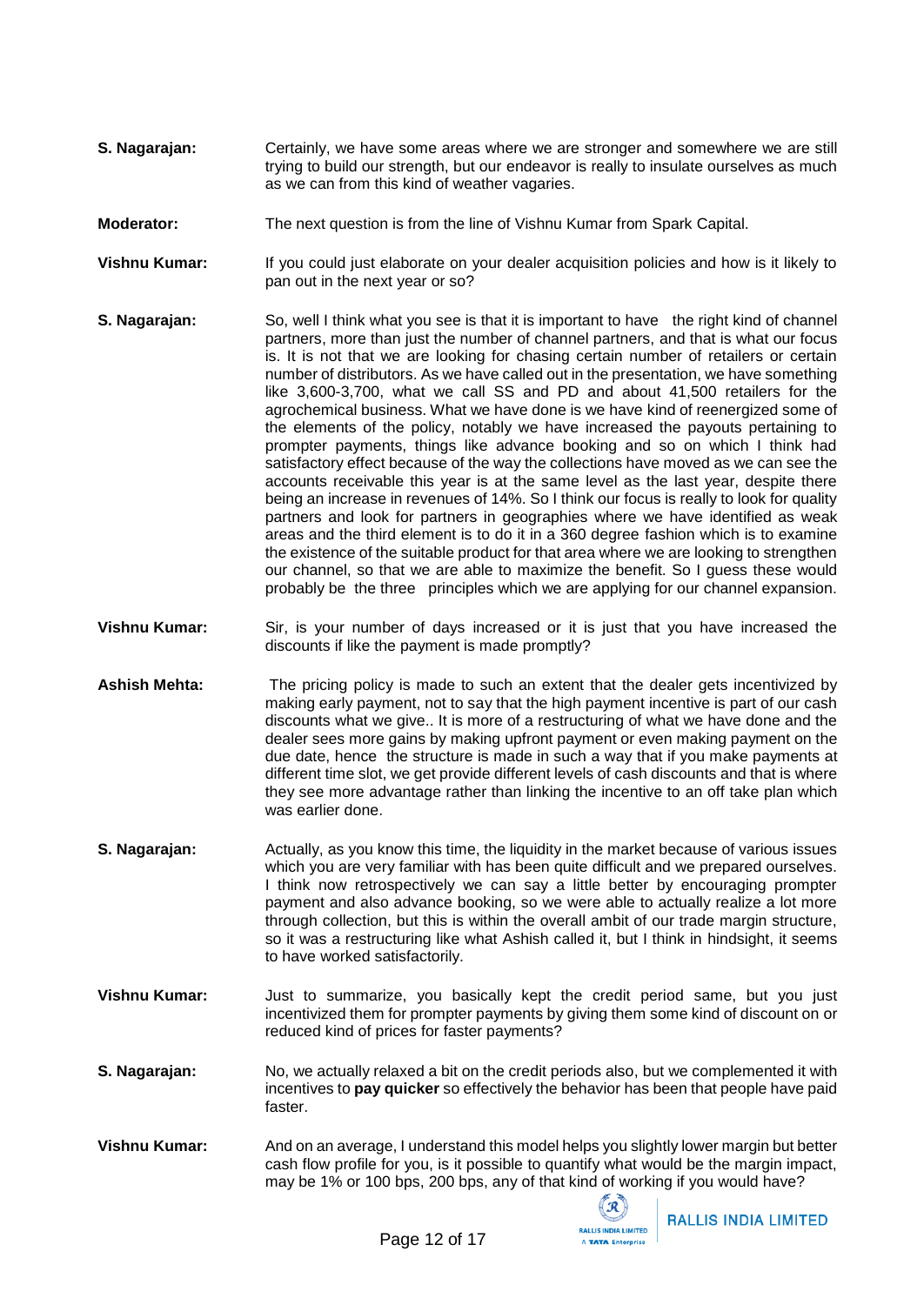- **S. Nagarajan:** Certainly, we have some areas where we are stronger and somewhere we are still trying to build our strength, but our endeavor is really to insulate ourselves as much as we can from this kind of weather vagaries.
- **Moderator:** The next question is from the line of Vishnu Kumar from Spark Capital.
- **Vishnu Kumar:** If you could just elaborate on your dealer acquisition policies and how is it likely to pan out in the next year or so?
- **S. Nagarajan:** So, well I think what you see is that it is important to have the right kind of channel partners, more than just the number of channel partners, and that is what our focus is. It is not that we are looking for chasing certain number of retailers or certain number of distributors. As we have called out in the presentation, we have something like 3,600-3,700, what we call SS and PD and about 41,500 retailers for the agrochemical business. What we have done is we have kind of reenergized some of the elements of the policy, notably we have increased the payouts pertaining to prompter payments, things like advance booking and so on which I think had satisfactory effect because of the way the collections have moved as we can see the accounts receivable this year is at the same level as the last year, despite there being an increase in revenues of 14%. So I think our focus is really to look for quality partners and look for partners in geographies where we have identified as weak areas and the third element is to do it in a 360 degree fashion which is to examine the existence of the suitable product for that area where we are looking to strengthen our channel, so that we are able to maximize the benefit. So I guess these would probably be the three principles which we are applying for our channel expansion.
- **Vishnu Kumar:** Sir, is your number of days increased or it is just that you have increased the discounts if like the payment is made promptly?
- **Ashish Mehta:** The pricing policy is made to such an extent that the dealer gets incentivized by making early payment, not to say that the high payment incentive is part of our cash discounts what we give.. It is more of a restructuring of what we have done and the dealer sees more gains by making upfront payment or even making payment on the due date, hence the structure is made in such a way that if you make payments at different time slot, we get provide different levels of cash discounts and that is where they see more advantage rather than linking the incentive to an off take plan which was earlier done.
- **S. Nagarajan:** Actually, as you know this time, the liquidity in the market because of various issues which you are very familiar with has been quite difficult and we prepared ourselves. I think now retrospectively we can say a little better by encouraging prompter payment and also advance booking, so we were able to actually realize a lot more through collection, but this is within the overall ambit of our trade margin structure, so it was a restructuring like what Ashish called it, but I think in hindsight, it seems to have worked satisfactorily.
- **Vishnu Kumar:** Just to summarize, you basically kept the credit period same, but you just incentivized them for prompter payments by giving them some kind of discount on or reduced kind of prices for faster payments?
- **S. Nagarajan:** No, we actually relaxed a bit on the credit periods also, but we complemented it with incentives to **pay quicker** so effectively the behavior has been that people have paid faster.
- **Vishnu Kumar:** And on an average, I understand this model helps you slightly lower margin but better cash flow profile for you, is it possible to quantify what would be the margin impact, may be 1% or 100 bps, 200 bps, any of that kind of working if you would have?

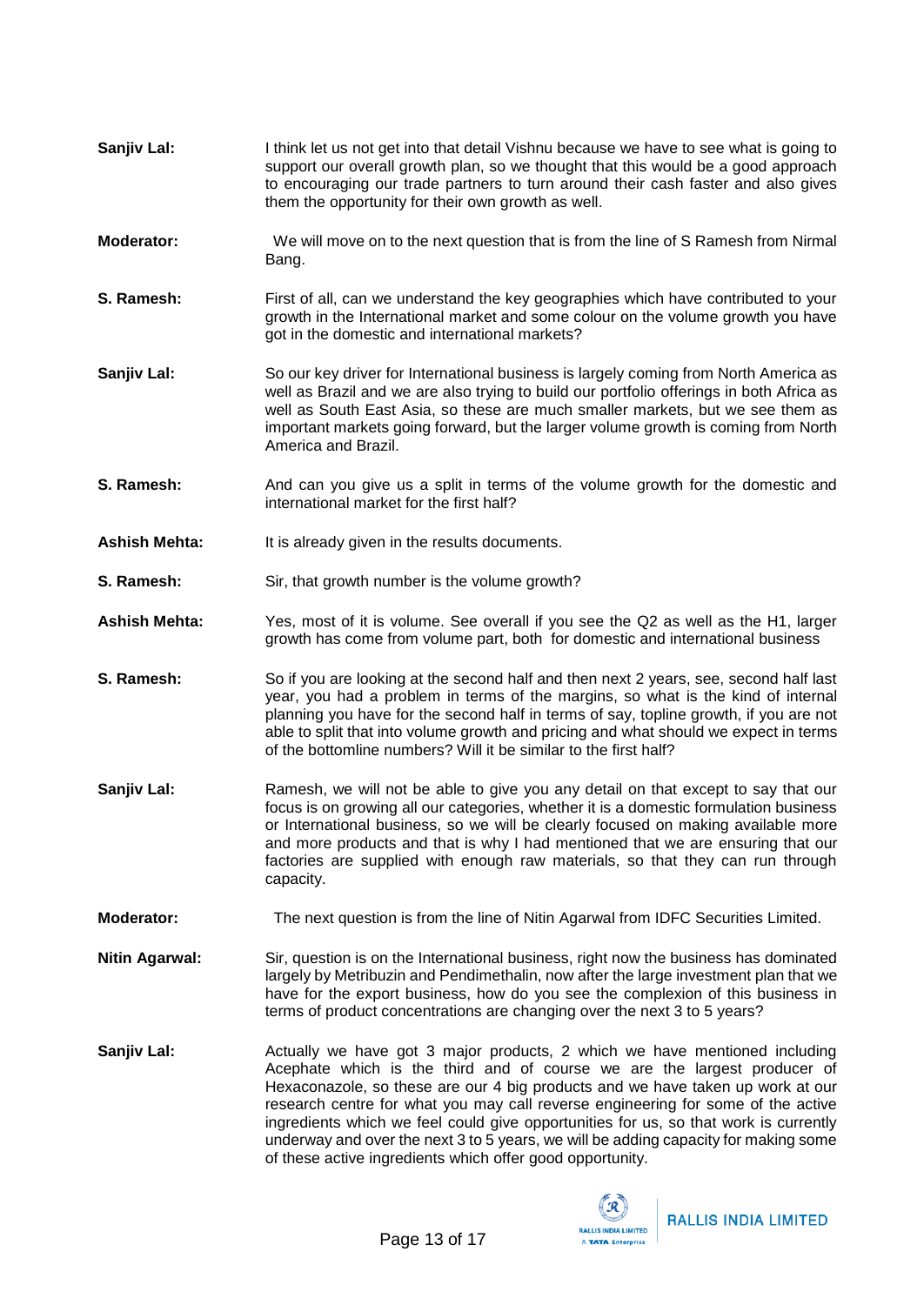- **Sanjiv Lal:** I think let us not get into that detail Vishnu because we have to see what is going to support our overall growth plan, so we thought that this would be a good approach to encouraging our trade partners to turn around their cash faster and also gives them the opportunity for their own growth as well.
- **Moderator:** We will move on to the next question that is from the line of S Ramesh from Nirmal Bang.
- **S. Ramesh:** First of all, can we understand the key geographies which have contributed to your growth in the International market and some colour on the volume growth you have got in the domestic and international markets?
- **Sanjiv Lal:** So our key driver for International business is largely coming from North America as well as Brazil and we are also trying to build our portfolio offerings in both Africa as well as South East Asia, so these are much smaller markets, but we see them as important markets going forward, but the larger volume growth is coming from North America and Brazil.
- **S. Ramesh:** And can you give us a split in terms of the volume growth for the domestic and international market for the first half?
- Ashish Mehta: It is already given in the results documents.
- **S. Ramesh:** Sir, that growth number is the volume growth?
- **Ashish Mehta:** Yes, most of it is volume. See overall if you see the Q2 as well as the H1, larger growth has come from volume part, both for domestic and international business
- **S.** Ramesh: So if you are looking at the second half and then next 2 years, see, second half last year, you had a problem in terms of the margins, so what is the kind of internal planning you have for the second half in terms of say, topline growth, if you are not able to split that into volume growth and pricing and what should we expect in terms of the bottomline numbers? Will it be similar to the first half?
- **Sanjiv Lal:** Ramesh, we will not be able to give you any detail on that except to say that our focus is on growing all our categories, whether it is a domestic formulation business or International business, so we will be clearly focused on making available more and more products and that is why I had mentioned that we are ensuring that our factories are supplied with enough raw materials, so that they can run through capacity.
- **Moderator:** The next question is from the line of Nitin Agarwal from IDFC Securities Limited.
- **Nitin Agarwal:** Sir, question is on the International business, right now the business has dominated largely by Metribuzin and Pendimethalin, now after the large investment plan that we have for the export business, how do you see the complexion of this business in terms of product concentrations are changing over the next 3 to 5 years?
- Sanjiv Lal: Actually we have got 3 major products, 2 which we have mentioned including Acephate which is the third and of course we are the largest producer of Hexaconazole, so these are our 4 big products and we have taken up work at our research centre for what you may call reverse engineering for some of the active ingredients which we feel could give opportunities for us, so that work is currently underway and over the next 3 to 5 years, we will be adding capacity for making some of these active ingredients which offer good opportunity.

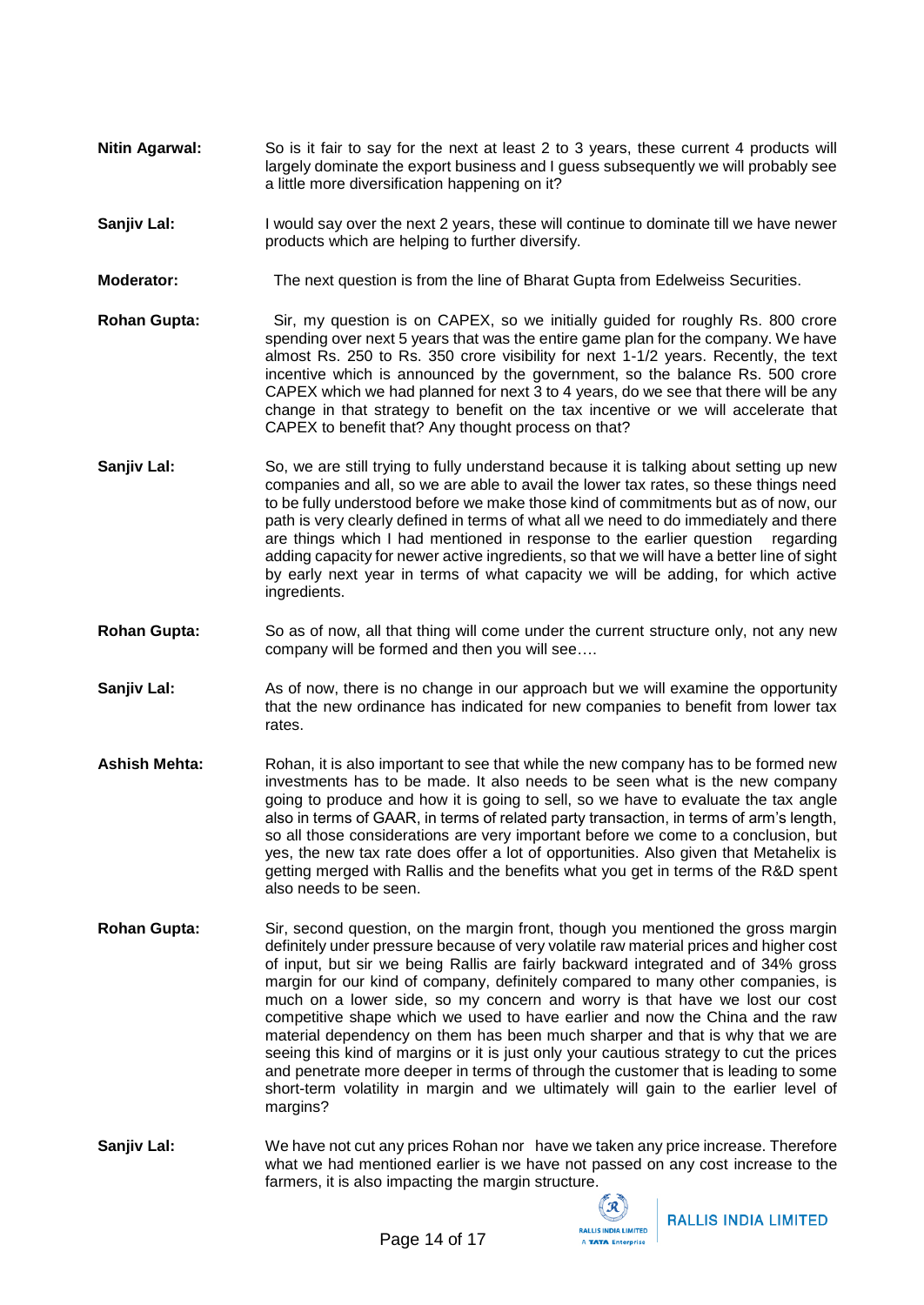- **Nitin Agarwal:** So is it fair to say for the next at least 2 to 3 years, these current 4 products will largely dominate the export business and I guess subsequently we will probably see a little more diversification happening on it?
- **Sanjiv Lal:** I would say over the next 2 years, these will continue to dominate till we have newer products which are helping to further diversify.
- **Moderator:** The next question is from the line of Bharat Gupta from Edelweiss Securities.
- **Rohan Gupta:** Sir, my question is on CAPEX, so we initially guided for roughly Rs. 800 crore spending over next 5 years that was the entire game plan for the company. We have almost Rs. 250 to Rs. 350 crore visibility for next 1-1/2 years. Recently, the text incentive which is announced by the government, so the balance Rs. 500 crore CAPEX which we had planned for next 3 to 4 years, do we see that there will be any change in that strategy to benefit on the tax incentive or we will accelerate that CAPEX to benefit that? Any thought process on that?
- **Sanjiv Lal:** So, we are still trying to fully understand because it is talking about setting up new companies and all, so we are able to avail the lower tax rates, so these things need to be fully understood before we make those kind of commitments but as of now, our path is very clearly defined in terms of what all we need to do immediately and there are things which I had mentioned in response to the earlier question regarding adding capacity for newer active ingredients, so that we will have a better line of sight by early next year in terms of what capacity we will be adding, for which active ingredients.
- **Rohan Gupta:** So as of now, all that thing will come under the current structure only, not any new company will be formed and then you will see….
- **Sanjiv Lal:** As of now, there is no change in our approach but we will examine the opportunity that the new ordinance has indicated for new companies to benefit from lower tax rates.
- **Ashish Mehta:** Rohan, it is also important to see that while the new company has to be formed new investments has to be made. It also needs to be seen what is the new company going to produce and how it is going to sell, so we have to evaluate the tax angle also in terms of GAAR, in terms of related party transaction, in terms of arm's length, so all those considerations are very important before we come to a conclusion, but yes, the new tax rate does offer a lot of opportunities. Also given that Metahelix is getting merged with Rallis and the benefits what you get in terms of the R&D spent also needs to be seen.
- **Rohan Gupta:** Sir, second question, on the margin front, though you mentioned the gross margin definitely under pressure because of very volatile raw material prices and higher cost of input, but sir we being Rallis are fairly backward integrated and of 34% gross margin for our kind of company, definitely compared to many other companies, is much on a lower side, so my concern and worry is that have we lost our cost competitive shape which we used to have earlier and now the China and the raw material dependency on them has been much sharper and that is why that we are seeing this kind of margins or it is just only your cautious strategy to cut the prices and penetrate more deeper in terms of through the customer that is leading to some short-term volatility in margin and we ultimately will gain to the earlier level of margins?
- **Sanjiv Lal:** We have not cut any prices Rohan nor have we taken any price increase. Therefore what we had mentioned earlier is we have not passed on any cost increase to the farmers, it is also impacting the margin structure.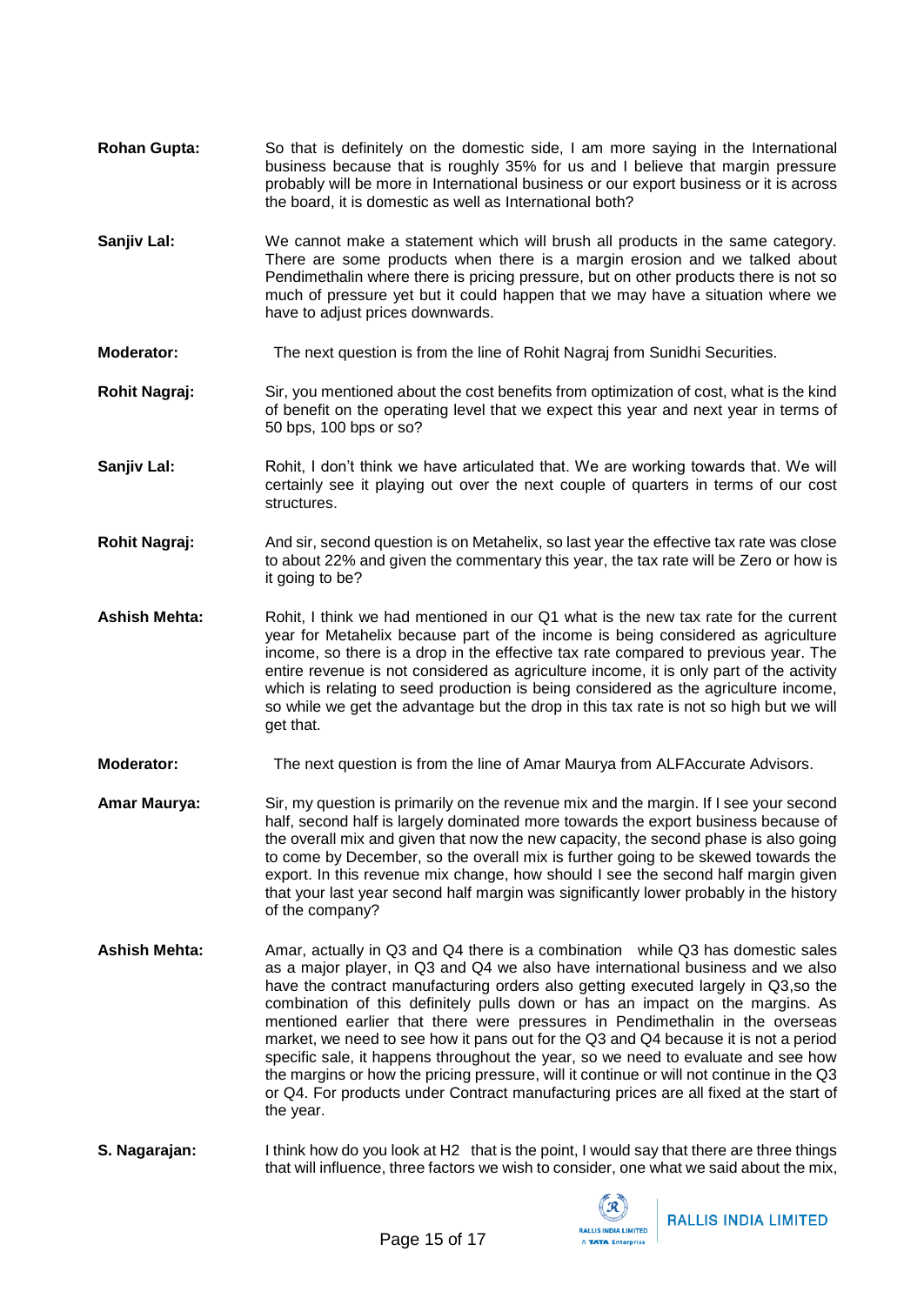- **Rohan Gupta:** So that is definitely on the domestic side, I am more saying in the International business because that is roughly 35% for us and I believe that margin pressure probably will be more in International business or our export business or it is across the board, it is domestic as well as International both?
- **Sanjiv Lal:** We cannot make a statement which will brush all products in the same category. There are some products when there is a margin erosion and we talked about Pendimethalin where there is pricing pressure, but on other products there is not so much of pressure yet but it could happen that we may have a situation where we have to adjust prices downwards.
- **Moderator:** The next question is from the line of Rohit Nagraj from Sunidhi Securities.
- **Rohit Nagraj:** Sir, you mentioned about the cost benefits from optimization of cost, what is the kind of benefit on the operating level that we expect this year and next year in terms of 50 bps, 100 bps or so?
- **Sanjiv Lal:** Rohit, I don't think we have articulated that. We are working towards that. We will certainly see it playing out over the next couple of quarters in terms of our cost structures.
- **Rohit Nagraj:** And sir, second question is on Metahelix, so last year the effective tax rate was close to about 22% and given the commentary this year, the tax rate will be Zero or how is it going to be?
- **Ashish Mehta:** Rohit, I think we had mentioned in our Q1 what is the new tax rate for the current year for Metahelix because part of the income is being considered as agriculture income, so there is a drop in the effective tax rate compared to previous year. The entire revenue is not considered as agriculture income, it is only part of the activity which is relating to seed production is being considered as the agriculture income, so while we get the advantage but the drop in this tax rate is not so high but we will get that.
- **Moderator:** The next question is from the line of Amar Maurya from ALFAccurate Advisors.
- **Amar Maurya:** Sir, my question is primarily on the revenue mix and the margin. If I see your second half, second half is largely dominated more towards the export business because of the overall mix and given that now the new capacity, the second phase is also going to come by December, so the overall mix is further going to be skewed towards the export. In this revenue mix change, how should I see the second half margin given that your last year second half margin was significantly lower probably in the history of the company?
- **Ashish Mehta:** Amar, actually in Q3 and Q4 there is a combination while Q3 has domestic sales as a major player, in Q3 and Q4 we also have international business and we also have the contract manufacturing orders also getting executed largely in Q3,so the combination of this definitely pulls down or has an impact on the margins. As mentioned earlier that there were pressures in Pendimethalin in the overseas market, we need to see how it pans out for the Q3 and Q4 because it is not a period specific sale, it happens throughout the year, so we need to evaluate and see how the margins or how the pricing pressure, will it continue or will not continue in the Q3 or Q4. For products under Contract manufacturing prices are all fixed at the start of the year.
- **S. Nagarajan:** I think how do you look at H2 that is the point, I would say that there are three things that will influence, three factors we wish to consider, one what we said about the mix,

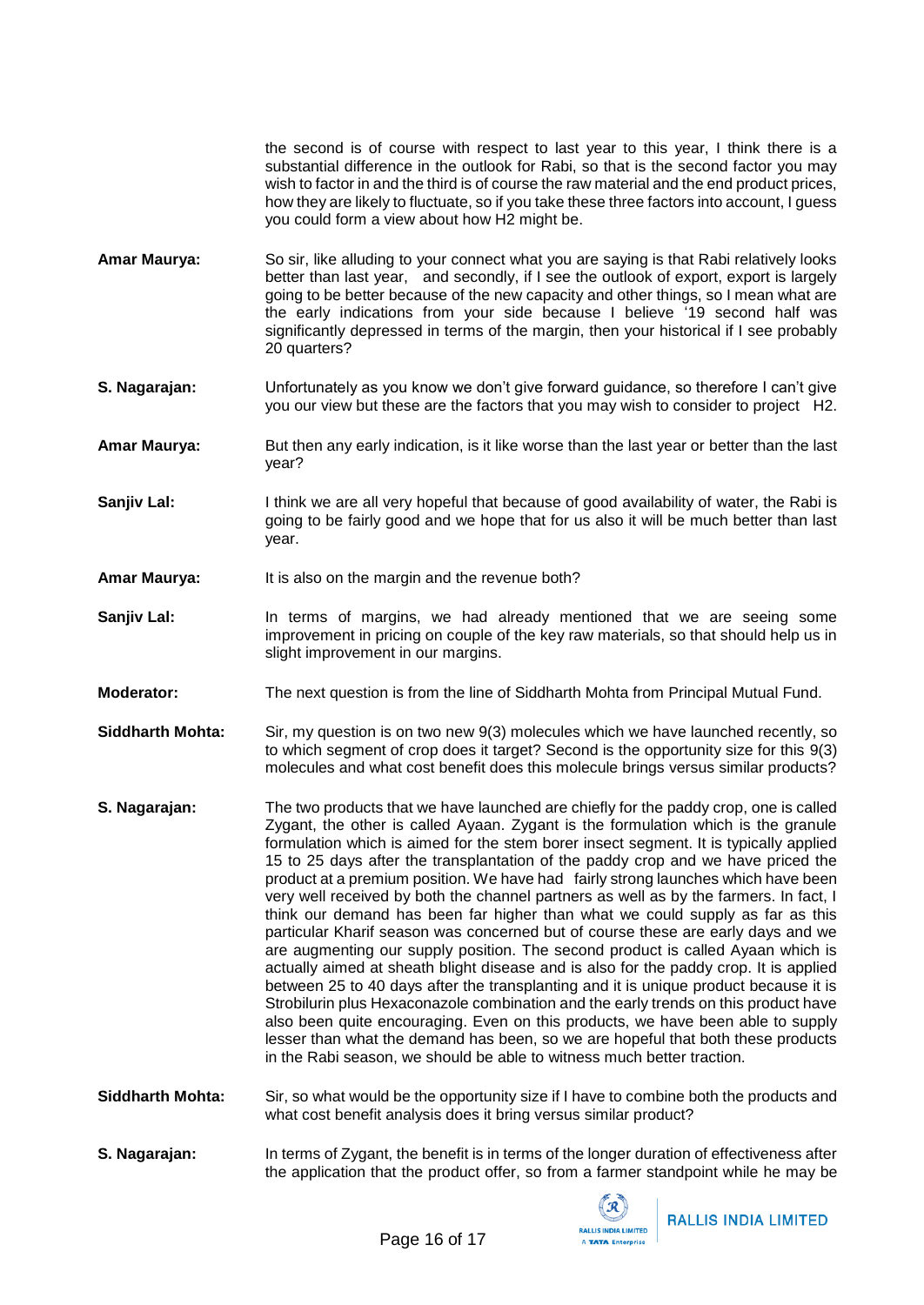the second is of course with respect to last year to this year, I think there is a substantial difference in the outlook for Rabi, so that is the second factor you may wish to factor in and the third is of course the raw material and the end product prices, how they are likely to fluctuate, so if you take these three factors into account, I guess you could form a view about how H2 might be.

- **Amar Maurya:** So sir, like alluding to your connect what you are saying is that Rabi relatively looks better than last year, and secondly, if I see the outlook of export, export is largely going to be better because of the new capacity and other things, so I mean what are the early indications from your side because I believe '19 second half was significantly depressed in terms of the margin, then your historical if I see probably 20 quarters?
- **S. Nagarajan:** Unfortunately as you know we don't give forward guidance, so therefore I can't give you our view but these are the factors that you may wish to consider to project H2.
- **Amar Maurya:** But then any early indication, is it like worse than the last year or better than the last year?
- **Sanjiv Lal:** I think we are all very hopeful that because of good availability of water, the Rabi is going to be fairly good and we hope that for us also it will be much better than last year.
- **Amar Maurya:** It is also on the margin and the revenue both?
- **Sanjiv Lal:** In terms of margins, we had already mentioned that we are seeing some improvement in pricing on couple of the key raw materials, so that should help us in slight improvement in our margins.
- **Moderator:** The next question is from the line of Siddharth Mohta from Principal Mutual Fund.
- **Siddharth Mohta:** Sir, my question is on two new 9(3) molecules which we have launched recently, so to which segment of crop does it target? Second is the opportunity size for this 9(3) molecules and what cost benefit does this molecule brings versus similar products?
- **S. Nagarajan:** The two products that we have launched are chiefly for the paddy crop, one is called Zygant, the other is called Ayaan. Zygant is the formulation which is the granule formulation which is aimed for the stem borer insect segment. It is typically applied 15 to 25 days after the transplantation of the paddy crop and we have priced the product at a premium position. We have had fairly strong launches which have been very well received by both the channel partners as well as by the farmers. In fact, I think our demand has been far higher than what we could supply as far as this particular Kharif season was concerned but of course these are early days and we are augmenting our supply position. The second product is called Ayaan which is actually aimed at sheath blight disease and is also for the paddy crop. It is applied between 25 to 40 days after the transplanting and it is unique product because it is Strobilurin plus Hexaconazole combination and the early trends on this product have also been quite encouraging. Even on this products, we have been able to supply lesser than what the demand has been, so we are hopeful that both these products in the Rabi season, we should be able to witness much better traction.
- **Siddharth Mohta:** Sir, so what would be the opportunity size if I have to combine both the products and what cost benefit analysis does it bring versus similar product?
- **S. Nagarajan:** In terms of Zygant, the benefit is in terms of the longer duration of effectiveness after the application that the product offer, so from a farmer standpoint while he may be